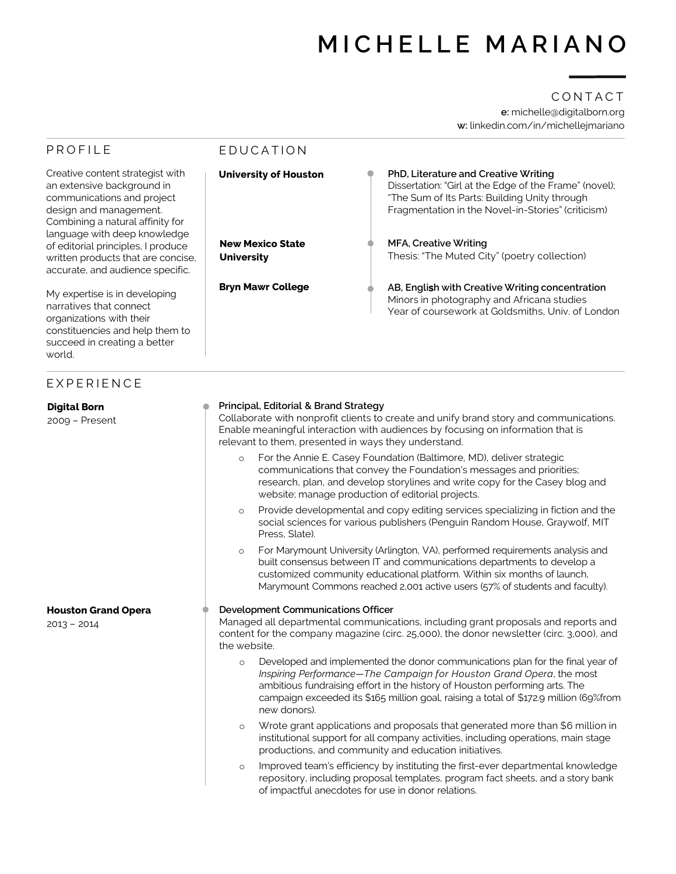# **MICHELLE MARIANO**

## **e:** michelle@digitalborn.org **w:** linkedin.com/in/michellejmariano CONTACT

| <b>PROFILE</b>                                                                                                                                                                             | EDUCATION                                                                                                                                                                                                                                                                                                                                                |                                                                                                                                                                                                                                                                                                                   |  |
|--------------------------------------------------------------------------------------------------------------------------------------------------------------------------------------------|----------------------------------------------------------------------------------------------------------------------------------------------------------------------------------------------------------------------------------------------------------------------------------------------------------------------------------------------------------|-------------------------------------------------------------------------------------------------------------------------------------------------------------------------------------------------------------------------------------------------------------------------------------------------------------------|--|
| Creative content strategist with<br>an extensive background in<br>communications and project<br>design and management.<br>Combining a natural affinity for<br>language with deep knowledge | <b>University of Houston</b>                                                                                                                                                                                                                                                                                                                             | PhD, Literature and Creative Writing<br>Dissertation: "Girl at the Edge of the Frame" (novel);<br>"The Sum of Its Parts: Building Unity through<br>Fragmentation in the Novel-in-Stories" (criticism)                                                                                                             |  |
| of editorial principles, I produce<br>written products that are concise,<br>accurate, and audience specific.                                                                               | <b>New Mexico State</b><br><b>University</b>                                                                                                                                                                                                                                                                                                             | <b>MFA, Creative Writing</b><br>Thesis: "The Muted City" (poetry collection)                                                                                                                                                                                                                                      |  |
| My expertise is in developing<br>narratives that connect<br>organizations with their<br>constituencies and help them to<br>succeed in creating a better<br>world.                          | <b>Bryn Mawr College</b>                                                                                                                                                                                                                                                                                                                                 | AB, English with Creative Writing concentration<br>Minors in photography and Africana studies<br>Year of coursework at Goldsmiths, Univ. of London                                                                                                                                                                |  |
| EXPERIENCE                                                                                                                                                                                 |                                                                                                                                                                                                                                                                                                                                                          |                                                                                                                                                                                                                                                                                                                   |  |
| <b>Digital Born</b><br>2009 - Present                                                                                                                                                      | Principal, Editorial & Brand Strategy<br>Collaborate with nonprofit clients to create and unify brand story and communications.<br>Enable meaningful interaction with audiences by focusing on information that is<br>relevant to them, presented in ways they understand.                                                                               |                                                                                                                                                                                                                                                                                                                   |  |
|                                                                                                                                                                                            | For the Annie E. Casey Foundation (Baltimore, MD), deliver strategic<br>$\circ$<br>communications that convey the Foundation's messages and priorities;<br>research, plan, and develop storylines and write copy for the Casey blog and<br>website; manage production of editorial projects.                                                             |                                                                                                                                                                                                                                                                                                                   |  |
|                                                                                                                                                                                            | Provide developmental and copy editing services specializing in fiction and the<br>$\circ$<br>social sciences for various publishers (Penguin Random House, Graywolf, MIT<br>Press, Slate).                                                                                                                                                              |                                                                                                                                                                                                                                                                                                                   |  |
|                                                                                                                                                                                            | $\circ$                                                                                                                                                                                                                                                                                                                                                  | For Marymount University (Arlington, VA), performed requirements analysis and<br>built consensus between IT and communications departments to develop a<br>customized community educational platform. Within six months of launch,<br>Marymount Commons reached 2,001 active users (57% of students and faculty). |  |
| <b>Houston Grand Opera</b><br>$2013 - 2014$                                                                                                                                                | Development Communications Officer<br>Managed all departmental communications, including grant proposals and reports and<br>content for the company magazine (circ. 25,000), the donor newsletter (circ. 3,000), and<br>the website.                                                                                                                     |                                                                                                                                                                                                                                                                                                                   |  |
|                                                                                                                                                                                            | Developed and implemented the donor communications plan for the final year of<br>$\circ$<br>Inspiring Performance-The Campaign for Houston Grand Opera, the most<br>ambitious fundraising effort in the history of Houston performing arts. The<br>campaign exceeded its \$165 million goal, raising a total of \$172.9 million (69%from<br>new donors). |                                                                                                                                                                                                                                                                                                                   |  |
|                                                                                                                                                                                            | Wrote grant applications and proposals that generated more than \$6 million in<br>$\circ$<br>institutional support for all company activities, including operations, main stage<br>productions, and community and education initiatives.                                                                                                                 |                                                                                                                                                                                                                                                                                                                   |  |
|                                                                                                                                                                                            | $\circ$                                                                                                                                                                                                                                                                                                                                                  | Improved team's efficiency by instituting the first-ever departmental knowledge<br>repository, including proposal templates, program fact sheets, and a story bank<br>of impactful anecdotes for use in donor relations.                                                                                          |  |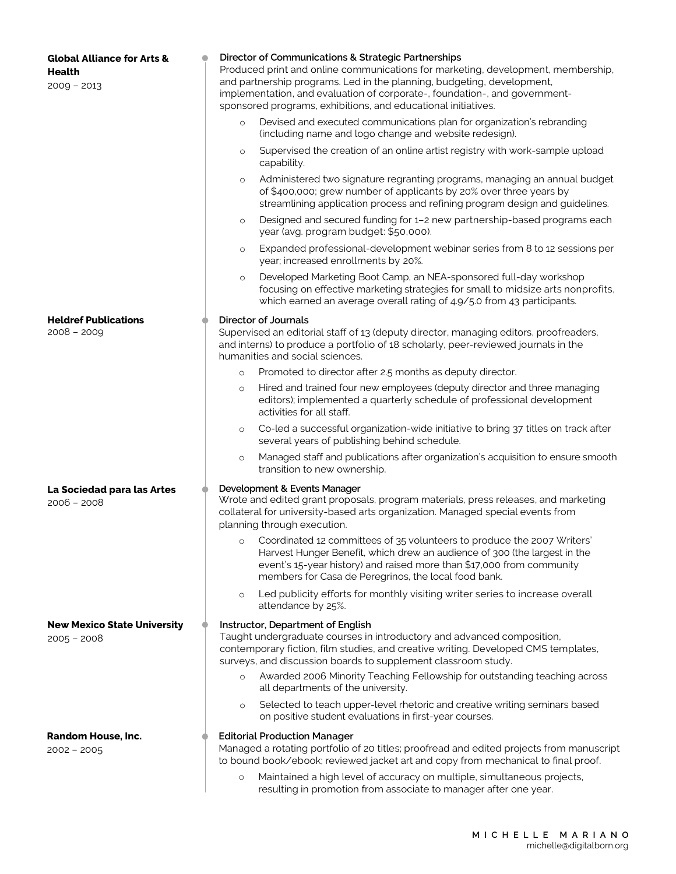| <b>Global Alliance for Arts &amp;</b><br><b>Health</b><br>$2009 - 2013$ |  | Director of Communications & Strategic Partnerships<br>Produced print and online communications for marketing, development, membership,<br>and partnership programs. Led in the planning, budgeting, development,<br>implementation, and evaluation of corporate-, foundation-, and government-<br>sponsored programs, exhibitions, and educational initiatives. |  |
|-------------------------------------------------------------------------|--|------------------------------------------------------------------------------------------------------------------------------------------------------------------------------------------------------------------------------------------------------------------------------------------------------------------------------------------------------------------|--|
|                                                                         |  | Devised and executed communications plan for organization's rebranding<br>$\circ$<br>(including name and logo change and website redesign).                                                                                                                                                                                                                      |  |
|                                                                         |  | Supervised the creation of an online artist registry with work-sample upload<br>$\circ$<br>capability.                                                                                                                                                                                                                                                           |  |
|                                                                         |  | Administered two signature regranting programs, managing an annual budget<br>$\circ$<br>of \$400,000; grew number of applicants by 20% over three years by<br>streamlining application process and refining program design and guidelines.                                                                                                                       |  |
|                                                                         |  | Designed and secured funding for 1-2 new partnership-based programs each<br>$\circ$<br>year (avg. program budget: \$50,000).                                                                                                                                                                                                                                     |  |
|                                                                         |  | Expanded professional-development webinar series from 8 to 12 sessions per<br>$\circ$<br>year; increased enrollments by 20%.                                                                                                                                                                                                                                     |  |
|                                                                         |  | Developed Marketing Boot Camp, an NEA-sponsored full-day workshop<br>$\circ$<br>focusing on effective marketing strategies for small to midsize arts nonprofits,<br>which earned an average overall rating of 4.9/5.0 from 43 participants.                                                                                                                      |  |
| <b>Heldref Publications</b><br>$2008 - 2009$                            |  | <b>Director of Journals</b><br>Supervised an editorial staff of 13 (deputy director, managing editors, proofreaders,<br>and interns) to produce a portfolio of 18 scholarly, peer-reviewed journals in the                                                                                                                                                       |  |
|                                                                         |  | humanities and social sciences.                                                                                                                                                                                                                                                                                                                                  |  |
|                                                                         |  | Promoted to director after 2.5 months as deputy director.<br>$\circ$                                                                                                                                                                                                                                                                                             |  |
|                                                                         |  | Hired and trained four new employees (deputy director and three managing<br>$\circ$<br>editors); implemented a quarterly schedule of professional development<br>activities for all staff.                                                                                                                                                                       |  |
|                                                                         |  | Co-led a successful organization-wide initiative to bring 37 titles on track after<br>$\circ$<br>several years of publishing behind schedule.                                                                                                                                                                                                                    |  |
|                                                                         |  | Managed staff and publications after organization's acquisition to ensure smooth<br>$\circ$<br>transition to new ownership.                                                                                                                                                                                                                                      |  |
| La Sociedad para las Artes<br>$2006 - 2008$                             |  | Development & Events Manager<br>Wrote and edited grant proposals, program materials, press releases, and marketing<br>collateral for university-based arts organization. Managed special events from<br>planning through execution.                                                                                                                              |  |
|                                                                         |  | Coordinated 12 committees of 35 volunteers to produce the 2007 Writers'<br>$\circ$<br>Harvest Hunger Benefit, which drew an audience of 300 (the largest in the<br>event's 15-year history) and raised more than \$17,000 from community<br>members for Casa de Peregrinos, the local food bank.                                                                 |  |
|                                                                         |  | Led publicity efforts for monthly visiting writer series to increase overall<br>$\circ$<br>attendance by 25%.                                                                                                                                                                                                                                                    |  |
| <b>New Mexico State University</b><br>$2005 - 2008$                     |  | Instructor, Department of English<br>Taught undergraduate courses in introductory and advanced composition,<br>contemporary fiction, film studies, and creative writing. Developed CMS templates,<br>surveys, and discussion boards to supplement classroom study.<br>Awarded 2006 Minority Teaching Fellowship for outstanding teaching across<br>$\circ$       |  |
|                                                                         |  | all departments of the university.<br>Selected to teach upper-level rhetoric and creative writing seminars based<br>$\circ$<br>on positive student evaluations in first-year courses.                                                                                                                                                                            |  |
|                                                                         |  |                                                                                                                                                                                                                                                                                                                                                                  |  |
| <b>Random House, Inc.</b><br>$2002 - 2005$                              |  | <b>Editorial Production Manager</b><br>Managed a rotating portfolio of 20 titles; proofread and edited projects from manuscript<br>to bound book/ebook; reviewed jacket art and copy from mechanical to final proof.                                                                                                                                             |  |
|                                                                         |  | Maintained a high level of accuracy on multiple, simultaneous projects,<br>$\circ$<br>resulting in promotion from associate to manager after one year.                                                                                                                                                                                                           |  |

resulting in promotion from associate to manager after one year.